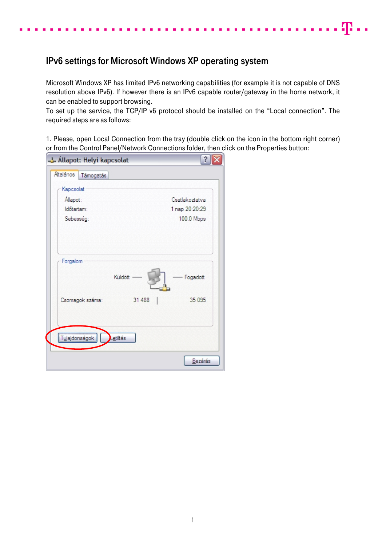## IPv6 settings for Microsoft Windows XP operating system

Microsoft Windows XP has limited IPv6 networking capabilities (for example it is not capable of DNS resolution above IPv6). If however there is an IPv6 capable router/gateway in the home network, it can be enabled to support browsing.

48 . .

To set up the service, the TCP/IP v6 protocol should be installed on the "Local connection". The required steps are as follows:

1. Please, open Local Connection from the tray (double click on the icon in the bottom right corner) or from the Control Panel/Network Connections folder, then click on the Properties button:

| Allapot: Helyi kapcsolat | $\hat{?}$           |  |
|--------------------------|---------------------|--|
| Általános<br>Támogatás   |                     |  |
| Kapcsolat                |                     |  |
| Allapot:                 | Csatlakoztatva      |  |
| Időtartam:               | 1 nap 20:20:29      |  |
| Sebesség:                | 100,0 Mbps          |  |
| Forgalom                 | Küldött<br>Fogadott |  |
| Csomagok száma:          | 31 488<br>35 095    |  |
| Tulajdonságok            | Letiltás            |  |
|                          | Bezárás             |  |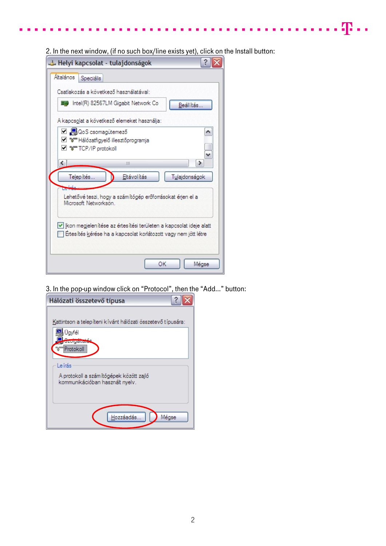2. In the next window, (if no such box/line exists yet), click on the Install button:

 $\ldots$  .  $\mathbf{P}$  . .

 $\sim 10$  $\blacksquare$ 

| - Helyi kapcsolat - tulajdonságok                                                                                                     |
|---------------------------------------------------------------------------------------------------------------------------------------|
| Általános<br>Speciális                                                                                                                |
| Csatlakozás a következő használatával:                                                                                                |
| ■■ Intel(R) 82567LM Gigabit Network Co<br>Beállítás.                                                                                  |
| A kapcsolat a következő elemeket használja:                                                                                           |
| ☑ ■ QoS csomagütemező<br>⊠ । अन्नि Hálózatfigyelő illesztőprogramja<br>M % TCP/IP protokoll                                           |
| ≯<br>¢<br>Ш                                                                                                                           |
| Eltávolítás<br>Telepítés.<br>Tulajdonságok                                                                                            |
| Lehetővé teszi, hogy a számítógép erőforrásokat érjen el a<br>Microsoft Networkson                                                    |
| Kon megjelen ítése az értesítési területen a kapcsolat ideje alatt<br>Ertesítés kérése ha a kapcsolat korlátozott vagy nem jött létre |
| ОК<br>Mégse                                                                                                                           |

3. In the pop-up window click on "Protocol", then the "Add…" button:

| Hálózati összetevő típusa                                   |  |  |  |
|-------------------------------------------------------------|--|--|--|
|                                                             |  |  |  |
| Kattintson a telepíteni kívánt hálózati összetevő típusára: |  |  |  |
| Jayfél                                                      |  |  |  |
| <b>STARIS ENGIN</b>                                         |  |  |  |
| Protokoll                                                   |  |  |  |
| Leirás                                                      |  |  |  |
| A protokoll a számítógépek között zajló                     |  |  |  |
| kommunikációban használt nyelv.                             |  |  |  |
|                                                             |  |  |  |
|                                                             |  |  |  |
|                                                             |  |  |  |
| Hozzáadás.<br>Mégse                                         |  |  |  |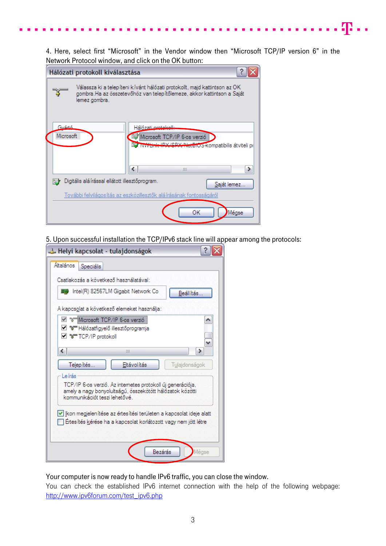4. Here, select first "Microsoft" in the Vendor window then "Microsoft TCP/IP version 6" in the Network Protocol window, and click on the OK button:

 $\cdot$  T  $\cdot$  .

|                    | Hálózati protokoll kiválasztása                                                                                                                                       |
|--------------------|-----------------------------------------------------------------------------------------------------------------------------------------------------------------------|
|                    | Válassza ki a telepíteni kívánt hálózati protokollt, majd kattintson az OK<br>gombra.Ha az összetevőhöz van telepítőlemeze, akkor kattintson a Saját<br>lemez gombra. |
| Guádó<br>Microsoft | Hálózati protokolk<br>Microsoft TCP/IP 6-os verzió<br>PX/SPX/NetBiOS-kompatibilis átviteli pr<br>∢<br>Ш                                                               |
|                    | Digitális alá írással ellátott illesztőprogram.<br>Saját lemez<br>További felvilágosítás az eszközillesztők alá írásának fontosságáról                                |
|                    | ОК<br>Mégse                                                                                                                                                           |

5. Upon successful installation the TCP/IPv6 stack line will appear among the protocols:

| - Helyi kapcsolat - tulajdonságok                                                                                                                                  |  |  |  |  |
|--------------------------------------------------------------------------------------------------------------------------------------------------------------------|--|--|--|--|
| Általános<br>Speciális                                                                                                                                             |  |  |  |  |
| Csatlakozás a következő használatával:                                                                                                                             |  |  |  |  |
| ■■ Intel(R) 82567LM Gigabit Network Co<br>Beállítás                                                                                                                |  |  |  |  |
| A kapcsolat a következő elemeket használja:                                                                                                                        |  |  |  |  |
| Microsoft TCP/IP 6-os verzió<br>⊠ "अन्नि Hálózatfigyelő illesztőprogramja<br>⊠ % <sup>-</sup> TCP/IP protokoll                                                     |  |  |  |  |
| ←<br>٠<br>Ш                                                                                                                                                        |  |  |  |  |
| Eltávolítás<br>Telepítés<br>Tulajdonságok                                                                                                                          |  |  |  |  |
| Leírás<br>TCP/IP 6-os verzió. Az internetes protokoll új generációja,<br>amely a nagy bonyolultságú, összekötött hálózatok közötti<br>kommunikációt teszi lehetővé |  |  |  |  |
| V kon megjelen ítése az értes ítési területen a kapcsolat ideje alatt<br>Ertesítés kérése ha a kapcsolat korlátozott vagy nem jött létre                           |  |  |  |  |
| Bezárás<br>Mégse                                                                                                                                                   |  |  |  |  |

Your computer is now ready to handle IPv6 traffic, you can close the window.

You can check the established IPv6 internet connection with the help of the following webpage: [http://www.ipv6forum.com/test\\_ipv6.php](http://www.ipv6forum.com/test_ipv6.php)